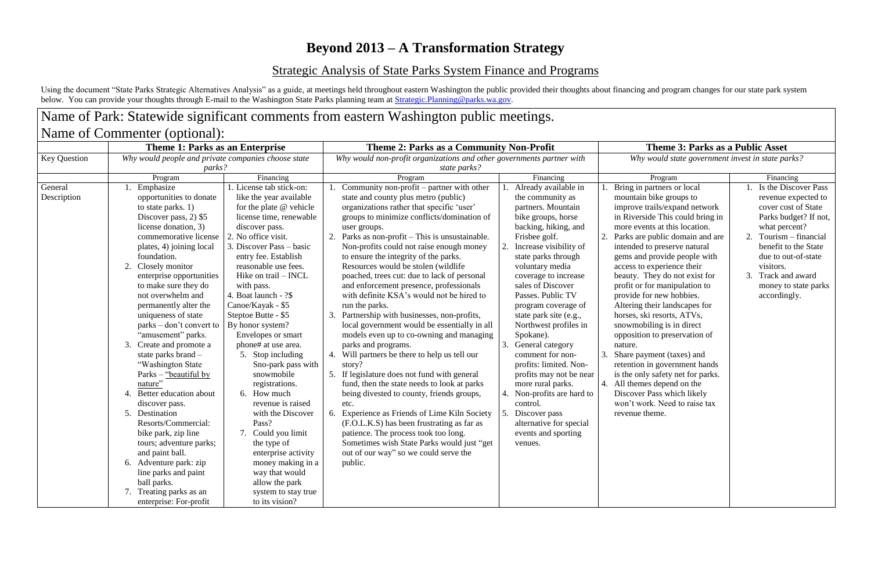## **Beyond 2013 – A Transformation Strategy**

Using the document "State Parks Strategic Alternatives Analysis" as a guide, at meetings held throughout eastern Washington the public provided their thoughts about financing and program changes for our state park system below. You can provide your thoughts through E-mail to the Washington State Parks planning team at **Strategic.Planning@parks.wa.gov**.

## Strategic Analysis of State Parks System Finance and Programs

## Name of Park: Statewide significant comments from eastern Washington public meetings.

| Name of Commenter (optional): |                                                                                                                                                                                                                                                                                                                                                                                                                                                                                                                                                                                                                                                                                                                                                                                            |                                                                                                                                                                                                                                                                                                                                                                                                                                                                                                                                                                                                                                                                                                                        |                                                                                                                                                                                                                                                                                                                                                                                                                                                                                                                                                                                                                                                                                                                                                                                                                                                                                                                                                                                                                                                                                                                                                             |                                                                                                                                                                                                                                                                                                                                                                                                                                                                                                                                                                                                         |                                                                                                                                                                                                                                                                                                                                                                                                                                                                                                                                                                                                                                                                                                                                                             |                                                                                                                                                                                                                                                               |
|-------------------------------|--------------------------------------------------------------------------------------------------------------------------------------------------------------------------------------------------------------------------------------------------------------------------------------------------------------------------------------------------------------------------------------------------------------------------------------------------------------------------------------------------------------------------------------------------------------------------------------------------------------------------------------------------------------------------------------------------------------------------------------------------------------------------------------------|------------------------------------------------------------------------------------------------------------------------------------------------------------------------------------------------------------------------------------------------------------------------------------------------------------------------------------------------------------------------------------------------------------------------------------------------------------------------------------------------------------------------------------------------------------------------------------------------------------------------------------------------------------------------------------------------------------------------|-------------------------------------------------------------------------------------------------------------------------------------------------------------------------------------------------------------------------------------------------------------------------------------------------------------------------------------------------------------------------------------------------------------------------------------------------------------------------------------------------------------------------------------------------------------------------------------------------------------------------------------------------------------------------------------------------------------------------------------------------------------------------------------------------------------------------------------------------------------------------------------------------------------------------------------------------------------------------------------------------------------------------------------------------------------------------------------------------------------------------------------------------------------|---------------------------------------------------------------------------------------------------------------------------------------------------------------------------------------------------------------------------------------------------------------------------------------------------------------------------------------------------------------------------------------------------------------------------------------------------------------------------------------------------------------------------------------------------------------------------------------------------------|-------------------------------------------------------------------------------------------------------------------------------------------------------------------------------------------------------------------------------------------------------------------------------------------------------------------------------------------------------------------------------------------------------------------------------------------------------------------------------------------------------------------------------------------------------------------------------------------------------------------------------------------------------------------------------------------------------------------------------------------------------------|---------------------------------------------------------------------------------------------------------------------------------------------------------------------------------------------------------------------------------------------------------------|
| <b>Key Question</b>           | Theme 1: Parks as an Enterprise<br>Why would people and private companies choose state<br>parks?                                                                                                                                                                                                                                                                                                                                                                                                                                                                                                                                                                                                                                                                                           |                                                                                                                                                                                                                                                                                                                                                                                                                                                                                                                                                                                                                                                                                                                        | Theme 2: Parks as a Community Non-Profit<br>Why would non-profit organizations and other governments partner with<br>state parks?                                                                                                                                                                                                                                                                                                                                                                                                                                                                                                                                                                                                                                                                                                                                                                                                                                                                                                                                                                                                                           |                                                                                                                                                                                                                                                                                                                                                                                                                                                                                                                                                                                                         | <b>Theme 3: Parks as a Public Asset</b><br>Why would state government invest in state parks?                                                                                                                                                                                                                                                                                                                                                                                                                                                                                                                                                                                                                                                                |                                                                                                                                                                                                                                                               |
|                               |                                                                                                                                                                                                                                                                                                                                                                                                                                                                                                                                                                                                                                                                                                                                                                                            |                                                                                                                                                                                                                                                                                                                                                                                                                                                                                                                                                                                                                                                                                                                        |                                                                                                                                                                                                                                                                                                                                                                                                                                                                                                                                                                                                                                                                                                                                                                                                                                                                                                                                                                                                                                                                                                                                                             |                                                                                                                                                                                                                                                                                                                                                                                                                                                                                                                                                                                                         |                                                                                                                                                                                                                                                                                                                                                                                                                                                                                                                                                                                                                                                                                                                                                             |                                                                                                                                                                                                                                                               |
|                               | Program                                                                                                                                                                                                                                                                                                                                                                                                                                                                                                                                                                                                                                                                                                                                                                                    | Financing                                                                                                                                                                                                                                                                                                                                                                                                                                                                                                                                                                                                                                                                                                              | Program                                                                                                                                                                                                                                                                                                                                                                                                                                                                                                                                                                                                                                                                                                                                                                                                                                                                                                                                                                                                                                                                                                                                                     | Financing                                                                                                                                                                                                                                                                                                                                                                                                                                                                                                                                                                                               | Program                                                                                                                                                                                                                                                                                                                                                                                                                                                                                                                                                                                                                                                                                                                                                     | Financing                                                                                                                                                                                                                                                     |
| General<br>Description        | Emphasize<br>opportunities to donate<br>to state parks. $1)$<br>Discover pass, 2) \$5<br>license donation, 3)<br>commemorative license<br>plates, 4) joining local<br>foundation.<br>2.<br>Closely monitor<br>enterprise opportunities<br>to make sure they do<br>not overwhelm and<br>permanently alter the<br>uniqueness of state<br>parks – don't convert to<br>"amusement" parks.<br>3.<br>Create and promote a<br>state parks brand -<br>"Washington State"<br>Parks – "beautiful by<br>nature'<br>Better education about<br>4.<br>discover pass.<br>5. Destination<br>Resorts/Commercial:<br>bike park, zip line<br>tours; adventure parks;<br>and paint ball.<br>6. Adventure park: zip<br>line parks and paint<br>ball parks.<br>7. Treating parks as an<br>enterprise: For-profit | 1. License tab stick-on:<br>like the year available<br>for the plate $@$ vehicle<br>license time, renewable<br>discover pass.<br>2. No office visit.<br>3. Discover Pass – basic<br>entry fee. Establish<br>reasonable use fees.<br>Hike on trail - INCL<br>with pass.<br>4. Boat launch - ?\$<br>Canoe/Kayak - \$5<br>Steptoe Butte - \$5<br>By honor system?<br>Envelopes or smart<br>phone# at use area.<br>5. Stop including<br>Sno-park pass with<br>snowmobile<br>registrations.<br>6. How much<br>revenue is raised<br>with the Discover<br>Pass?<br>7. Could you limit<br>the type of<br>enterprise activity<br>money making in a<br>way that would<br>allow the park<br>system to stay true<br>to its vision? | Community non-profit – partner with other<br>state and county plus metro (public)<br>organizations rather that specific 'user'<br>groups to minimize conflicts/domination of<br>user groups.<br>Parks as non-profit – This is unsustainable.<br>Non-profits could not raise enough money<br>to ensure the integrity of the parks.<br>Resources would be stolen (wildlife)<br>poached, trees cut: due to lack of personal<br>and enforcement presence, professionals<br>with definite KSA's would not be hired to<br>run the parks.<br>Partnership with businesses, non-profits,<br>local government would be essentially in all<br>models even up to co-owning and managing<br>parks and programs.<br>Will partners be there to help us tell our<br>4.<br>story?<br>If legislature does not fund with general<br>fund, then the state needs to look at parks<br>being divested to county, friends groups,<br>etc.<br>6. Experience as Friends of Lime Kiln Society<br>(F.O.L.K.S) has been frustrating as far as<br>patience. The process took too long.<br>Sometimes wish State Parks would just "get"<br>out of our way" so we could serve the<br>public. | Already available in<br>the community as<br>partners. Mountain<br>bike groups, horse<br>backing, hiking, and<br>Frisbee golf.<br>Increase visibility of<br>state parks through<br>voluntary media<br>coverage to increase<br>sales of Discover<br>Passes. Public TV<br>program coverage of<br>state park site (e.g.,<br>Northwest profiles in<br>Spokane).<br>General category<br>3.<br>comment for non-<br>profits: limited. Non-<br>profits may not be near<br>more rural parks.<br>Non-profits are hard to<br>control.<br>Discover pass<br>alternative for special<br>events and sporting<br>venues. | Bring in partners or local<br>mountain bike groups to<br>improve trails/expand network<br>in Riverside This could bring in<br>more events at this location.<br>2. Parks are public domain and are<br>intended to preserve natural<br>gems and provide people with<br>access to experience their<br>beauty. They do not exist for<br>profit or for manipulation to<br>provide for new hobbies.<br>Altering their landscapes for<br>horses, ski resorts, ATVs,<br>snowmobiling is in direct<br>opposition to preservation of<br>nature.<br>3. Share payment (taxes) and<br>retention in government hands<br>is the only safety net for parks.<br>4. All themes depend on the<br>Discover Pass which likely<br>won't work. Need to raise tax<br>revenue theme. | Is the Discover Pass<br>revenue expected to<br>cover cost of State<br>Parks budget? If not,<br>what percent?<br>2. Tourism – financial<br>benefit to the State<br>due to out-of-state<br>visitors.<br>Track and award<br>money to state parks<br>accordingly. |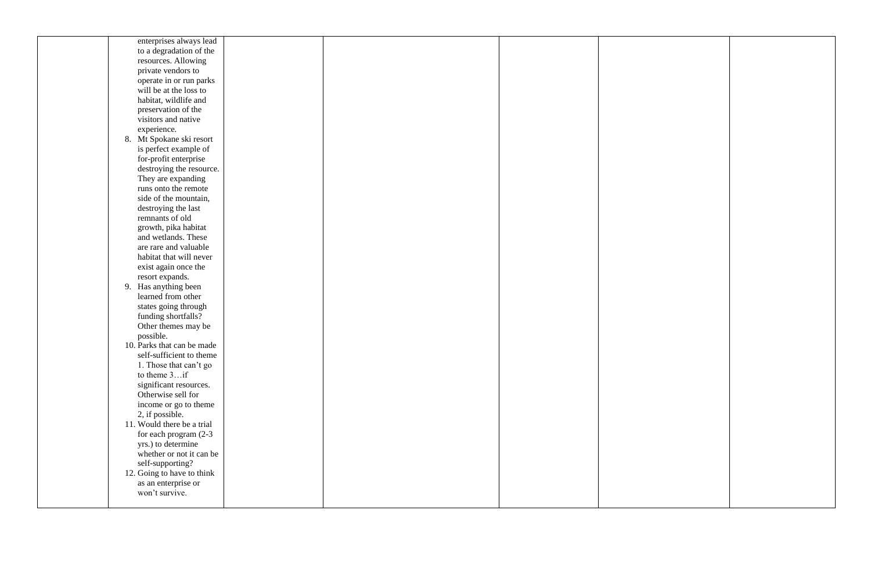| enterprises always lead     |  |  |
|-----------------------------|--|--|
| to a degradation of the     |  |  |
| resources. Allowing         |  |  |
| private vendors to          |  |  |
| operate in or run parks     |  |  |
| will be at the loss to      |  |  |
| habitat, wildlife and       |  |  |
| preservation of the         |  |  |
| visitors and native         |  |  |
| experience.                 |  |  |
| Mt Spokane ski resort<br>8. |  |  |
| is perfect example of       |  |  |
| for-profit enterprise       |  |  |
| destroying the resource.    |  |  |
| They are expanding          |  |  |
| runs onto the remote        |  |  |
| side of the mountain,       |  |  |
| destroying the last         |  |  |
| remnants of old             |  |  |
| growth, pika habitat        |  |  |
| and wetlands. These         |  |  |
| are rare and valuable       |  |  |
| habitat that will never     |  |  |
| exist again once the        |  |  |
| resort expands.             |  |  |
| 9. Has anything been        |  |  |
| learned from other          |  |  |
| states going through        |  |  |
| funding shortfalls?         |  |  |
| Other themes may be         |  |  |
| possible.                   |  |  |
| 10. Parks that can be made  |  |  |
| self-sufficient to theme    |  |  |
| 1. Those that can't go      |  |  |
| to theme $3$ if             |  |  |
| significant resources.      |  |  |
| Otherwise sell for          |  |  |
| income or go to theme       |  |  |
| 2, if possible.             |  |  |
| 11. Would there be a trial  |  |  |
| for each program (2-3)      |  |  |
| yrs.) to determine          |  |  |
| whether or not it can be    |  |  |
| self-supporting?            |  |  |
| 12. Going to have to think  |  |  |
| as an enterprise or         |  |  |
| won't survive.              |  |  |
|                             |  |  |

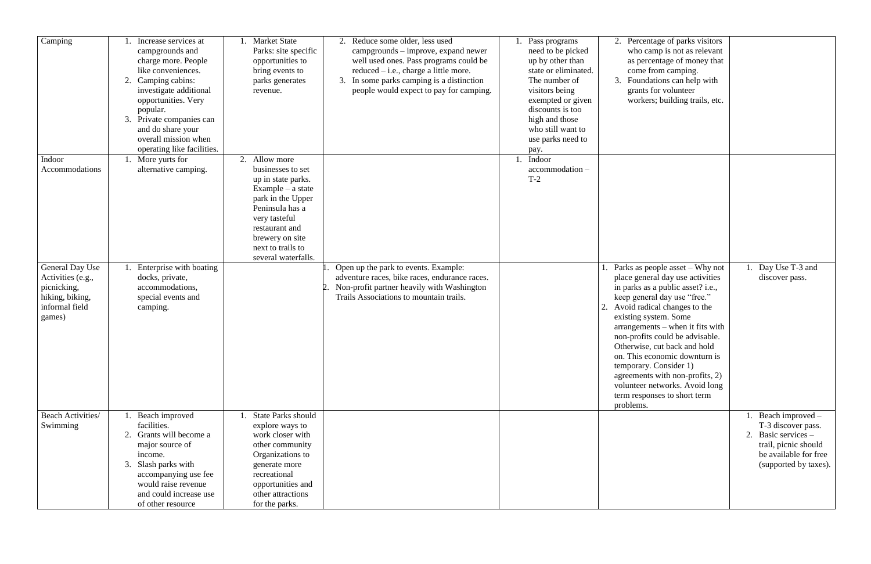| $\overline{C}$ amping                                                                              | Increase services at<br>campgrounds and<br>charge more. People<br>like conveniences.<br>2. Camping cabins:<br>investigate additional<br>opportunities. Very<br>popular.<br>3. Private companies can<br>and do share your<br>overall mission when<br>operating like facilities. | <b>Market State</b><br>Parks: site specific<br>opportunities to<br>bring events to<br>parks generates<br>revenue.                                                                                                      | 2. Reduce some older, less used<br>campgrounds – improve, expand newer<br>well used ones. Pass programs could be<br>reduced - i.e., charge a little more.<br>In some parks camping is a distinction<br>3.<br>people would expect to pay for camping. | . Pass programs<br>need to be picked<br>up by other than<br>state or eliminated.<br>The number of<br>visitors being<br>exempted or given<br>discounts is too<br>high and those<br>who still want to<br>use parks need to<br>pay. | 2. Percentage of parks visitors<br>who camp is not as relevant<br>as percentage of money that<br>come from camping.<br>Foundations can help with<br>3.<br>grants for volunteer<br>workers; building trails, etc.                                                                                                                                                                                                                                                                        |                                                                                                                                           |
|----------------------------------------------------------------------------------------------------|--------------------------------------------------------------------------------------------------------------------------------------------------------------------------------------------------------------------------------------------------------------------------------|------------------------------------------------------------------------------------------------------------------------------------------------------------------------------------------------------------------------|------------------------------------------------------------------------------------------------------------------------------------------------------------------------------------------------------------------------------------------------------|----------------------------------------------------------------------------------------------------------------------------------------------------------------------------------------------------------------------------------|-----------------------------------------------------------------------------------------------------------------------------------------------------------------------------------------------------------------------------------------------------------------------------------------------------------------------------------------------------------------------------------------------------------------------------------------------------------------------------------------|-------------------------------------------------------------------------------------------------------------------------------------------|
| Indoor<br>Accommodations                                                                           | More yurts for<br>alternative camping.                                                                                                                                                                                                                                         | Allow more<br>businesses to set<br>up in state parks.<br>$Example - a state$<br>park in the Upper<br>Peninsula has a<br>very tasteful<br>restaurant and<br>brewery on site<br>next to trails to<br>several waterfalls. |                                                                                                                                                                                                                                                      | Indoor<br>accommodation-<br>$T-2$                                                                                                                                                                                                |                                                                                                                                                                                                                                                                                                                                                                                                                                                                                         |                                                                                                                                           |
| General Day Use<br>Activities (e.g.,<br>picnicking,<br>hiking, biking,<br>informal field<br>games) | Enterprise with boating<br>docks, private,<br>accommodations,<br>special events and<br>camping.                                                                                                                                                                                |                                                                                                                                                                                                                        | Open up the park to events. Example:<br>adventure races, bike races, endurance races.<br>Non-profit partner heavily with Washington<br>Trails Associations to mountain trails.                                                                       |                                                                                                                                                                                                                                  | Parks as people asset – Why not<br>place general day use activities<br>in parks as a public asset? i.e.,<br>keep general day use "free."<br>Avoid radical changes to the<br>existing system. Some<br>$arrangements - when it fits with$<br>non-profits could be advisable.<br>Otherwise, cut back and hold<br>on. This economic downturn is<br>temporary. Consider 1)<br>agreements with non-profits, 2)<br>volunteer networks. Avoid long<br>term responses to short term<br>problems. | 1. Day Use T-3 and<br>discover pass.                                                                                                      |
| <b>Beach Activities/</b><br>Swimming                                                               | Beach improved<br>facilities.<br>2. Grants will become a<br>major source of<br>income.<br>Slash parks with<br>3.<br>accompanying use fee<br>would raise revenue<br>and could increase use<br>of other resource                                                                 | <b>State Parks should</b><br>explore ways to<br>work closer with<br>other community<br>Organizations to<br>generate more<br>recreational<br>opportunities and<br>other attractions<br>for the parks.                   |                                                                                                                                                                                                                                                      |                                                                                                                                                                                                                                  |                                                                                                                                                                                                                                                                                                                                                                                                                                                                                         | Beach improved -<br>T-3 discover pass.<br>2. Basic services $-$<br>trail, picnic should<br>be available for free<br>(supported by taxes). |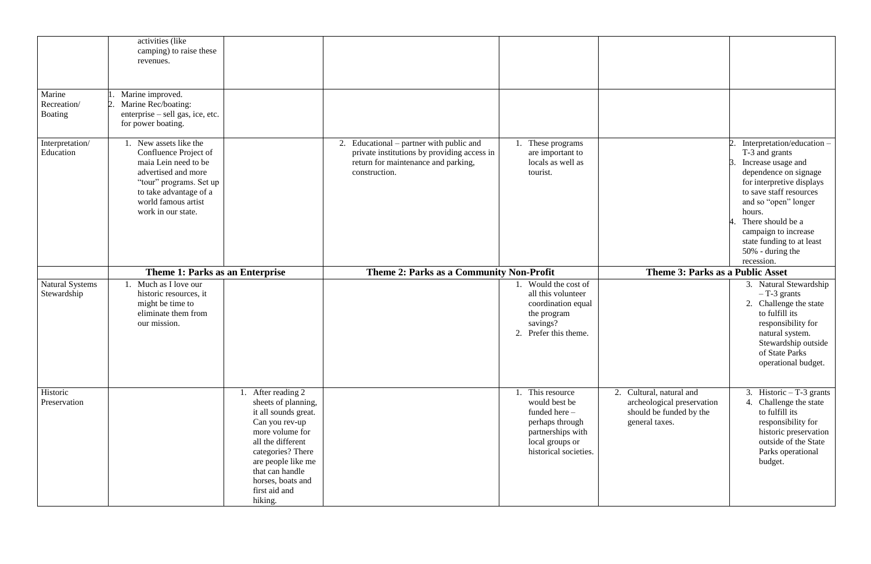|                                         | activities (like<br>camping) to raise these<br>revenues.                                                                                                                                                                                |                                                                                                                                                                                                       |                                                                                                     |                                                                                                                                                                                                                                                                                                   |
|-----------------------------------------|-----------------------------------------------------------------------------------------------------------------------------------------------------------------------------------------------------------------------------------------|-------------------------------------------------------------------------------------------------------------------------------------------------------------------------------------------------------|-----------------------------------------------------------------------------------------------------|---------------------------------------------------------------------------------------------------------------------------------------------------------------------------------------------------------------------------------------------------------------------------------------------------|
| Marine<br>Recreation/<br><b>Boating</b> | Marine improved.<br>Marine Rec/boating:<br>enterprise – sell gas, ice, etc.<br>for power boating.                                                                                                                                       |                                                                                                                                                                                                       |                                                                                                     |                                                                                                                                                                                                                                                                                                   |
| Interpretation/<br>Education            | 1. New assets like the<br>Confluence Project of<br>maia Lein need to be<br>advertised and more<br>construction.<br>"tour" programs. Set up<br>to take advantage of a<br>world famous artist<br>work in our state.                       | 2. Educational – partner with public and<br>These programs<br>private institutions by providing access in<br>are important to<br>locals as well as<br>return for maintenance and parking,<br>tourist. |                                                                                                     | Interpretation/education -<br>T-3 and grants<br>Increase usage and<br>dependence on signage<br>for interpretive displays<br>to save staff resources<br>and so "open" longer<br>hours.<br>There should be a<br>campaign to increase<br>state funding to at least<br>50% - during the<br>recession. |
|                                         | Theme 1: Parks as an Enterprise                                                                                                                                                                                                         | Theme 2: Parks as a Community Non-Profit                                                                                                                                                              | <b>Theme 3: Parks as a Public Asset</b>                                                             |                                                                                                                                                                                                                                                                                                   |
| <b>Natural Systems</b><br>Stewardship   | 1. Much as I love our<br>historic resources, it<br>might be time to<br>eliminate them from<br>our mission.                                                                                                                              | 1. Would the cost of<br>all this volunteer<br>coordination equal<br>the program<br>savings?<br>2. Prefer this theme.                                                                                  |                                                                                                     | 3. Natural Stewardship<br>$-$ T-3 grants<br>2. Challenge the state<br>to fulfill its<br>responsibility for<br>natural system.<br>Stewardship outside<br>of State Parks<br>operational budget.                                                                                                     |
| Historic<br>Preservation                | After reading 2<br>sheets of planning,<br>it all sounds great.<br>Can you rev-up<br>more volume for<br>all the different<br>categories? There<br>are people like me<br>that can handle<br>horses, boats and<br>first aid and<br>hiking. | 1. This resource<br>would best be<br>funded here -<br>perhaps through<br>partnerships with<br>local groups or<br>historical societies.                                                                | 2. Cultural, natural and<br>archeological preservation<br>should be funded by the<br>general taxes. | 3. Historic $-T-3$ grants<br>4. Challenge the state<br>to fulfill its<br>responsibility for<br>historic preservation<br>outside of the State<br>Parks operational<br>budget.                                                                                                                      |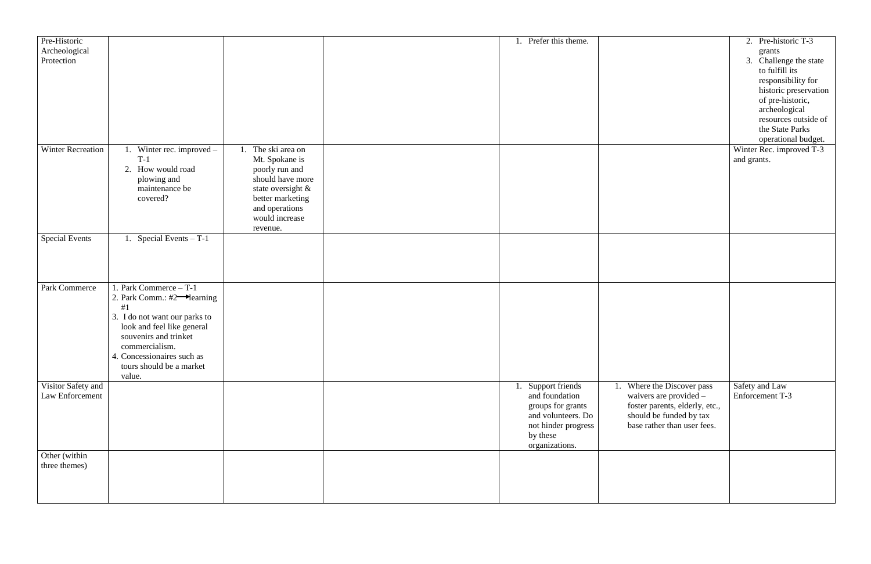| 1. Prefer this theme.                                                                                                                   |                                                                                                                                                     | 2. Pre-historic T-3<br>grants<br>Challenge the state<br>3.<br>to fulfill its<br>responsibility for<br>historic preservation<br>of pre-historic,<br>archeological<br>resources outside of<br>the State Parks<br>operational budget. |
|-----------------------------------------------------------------------------------------------------------------------------------------|-----------------------------------------------------------------------------------------------------------------------------------------------------|------------------------------------------------------------------------------------------------------------------------------------------------------------------------------------------------------------------------------------|
|                                                                                                                                         |                                                                                                                                                     | Winter Rec. improved T-3<br>and grants.                                                                                                                                                                                            |
|                                                                                                                                         |                                                                                                                                                     |                                                                                                                                                                                                                                    |
|                                                                                                                                         |                                                                                                                                                     |                                                                                                                                                                                                                                    |
| Support friends<br>1.<br>and foundation<br>groups for grants<br>and volunteers. Do<br>not hinder progress<br>by these<br>organizations. | Where the Discover pass<br>1.<br>waivers are provided -<br>foster parents, elderly, etc.,<br>should be funded by tax<br>base rather than user fees. | Safety and Law<br>Enforcement T-3                                                                                                                                                                                                  |
|                                                                                                                                         |                                                                                                                                                     |                                                                                                                                                                                                                                    |

| Pre-Historic<br>Archeological         |                                                        |                                         | 1. Prefer this theme.                |                 |
|---------------------------------------|--------------------------------------------------------|-----------------------------------------|--------------------------------------|-----------------|
| Protection                            |                                                        |                                         |                                      |                 |
|                                       |                                                        |                                         |                                      |                 |
|                                       |                                                        |                                         |                                      |                 |
|                                       |                                                        |                                         |                                      |                 |
|                                       |                                                        |                                         |                                      |                 |
|                                       |                                                        |                                         |                                      |                 |
| <b>Winter Recreation</b>              | 1. Winter rec. improved $-$<br>$T-1$                   | The ski area on<br>1.<br>Mt. Spokane is |                                      |                 |
|                                       | 2. How would road                                      | poorly run and                          |                                      |                 |
|                                       | plowing and<br>maintenance be                          | should have more<br>state oversight &   |                                      |                 |
|                                       | covered?                                               | better marketing                        |                                      |                 |
|                                       |                                                        | and operations<br>would increase        |                                      |                 |
|                                       |                                                        | revenue.                                |                                      |                 |
| <b>Special Events</b>                 | 1. Special Events $-T-1$                               |                                         |                                      |                 |
|                                       |                                                        |                                         |                                      |                 |
|                                       |                                                        |                                         |                                      |                 |
| Park Commerce                         | 1. Park Commerce - T-1                                 |                                         |                                      |                 |
|                                       | 2. Park Comm.: $\#2 \rightarrow$ learning<br>#1        |                                         |                                      |                 |
|                                       | 3. I do not want our parks to                          |                                         |                                      |                 |
|                                       | look and feel like general<br>souvenirs and trinket    |                                         |                                      |                 |
|                                       | commercialism.                                         |                                         |                                      |                 |
|                                       | 4. Concessionaires such as<br>tours should be a market |                                         |                                      |                 |
|                                       | value.                                                 |                                         |                                      |                 |
| Visitor Safety and<br>Law Enforcement |                                                        |                                         | 1. Support friends<br>and foundation | 1. When<br>waiv |
|                                       |                                                        |                                         | groups for grants                    | foste           |
|                                       |                                                        |                                         | and volunteers. Do                   | shou            |
|                                       |                                                        |                                         | not hinder progress<br>by these      | base            |
|                                       |                                                        |                                         | organizations.                       |                 |
| Other (within<br>three themes)        |                                                        |                                         |                                      |                 |
|                                       |                                                        |                                         |                                      |                 |
|                                       |                                                        |                                         |                                      |                 |
|                                       |                                                        |                                         |                                      |                 |